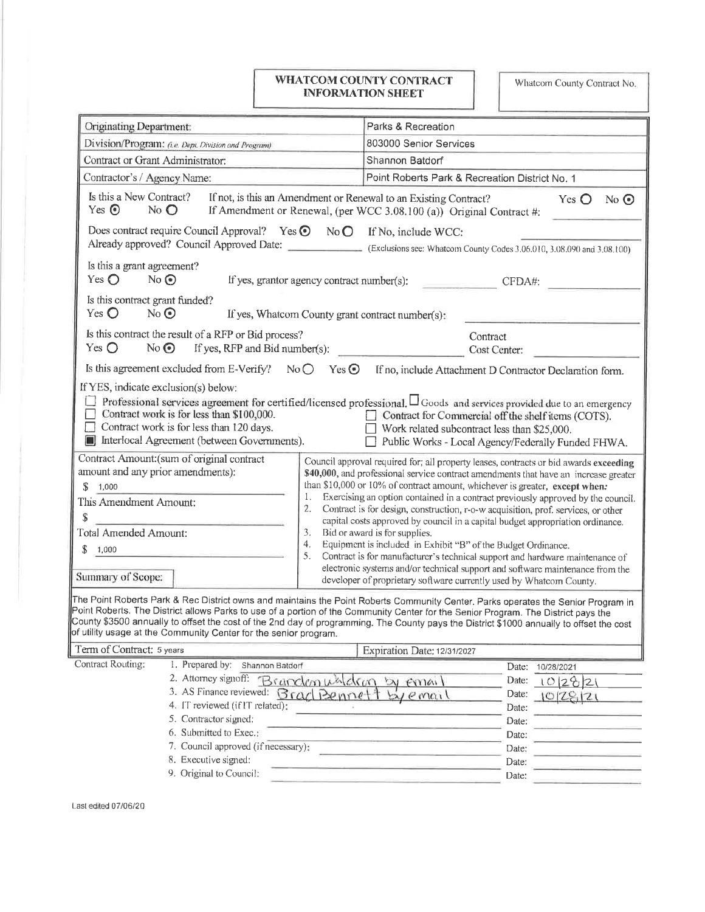## WHATCOM COUNTY CONTRACT **INFORMATION SHEET**

Whatcom County Contract No.

| Originating Department:                                                                                                                                                                                                                                                                                                                                                                                                                                                                                     | Parks & Recreation                                                                                                                                                       |
|-------------------------------------------------------------------------------------------------------------------------------------------------------------------------------------------------------------------------------------------------------------------------------------------------------------------------------------------------------------------------------------------------------------------------------------------------------------------------------------------------------------|--------------------------------------------------------------------------------------------------------------------------------------------------------------------------|
| Division/Program: (i.e. Dept. Division and Program)                                                                                                                                                                                                                                                                                                                                                                                                                                                         | 803000 Senior Services                                                                                                                                                   |
| Contract or Grant Administrator:                                                                                                                                                                                                                                                                                                                                                                                                                                                                            | Shannon Batdorf                                                                                                                                                          |
| Contractor's / Agency Name:                                                                                                                                                                                                                                                                                                                                                                                                                                                                                 | Point Roberts Park & Recreation District No. 1                                                                                                                           |
| Is this a New Contract?<br>Yes $\odot$<br>$No$ $O$                                                                                                                                                                                                                                                                                                                                                                                                                                                          | If not, is this an Amendment or Renewal to an Existing Contract?<br>No $\odot$<br>Yes $\bigcirc$<br>If Amendment or Renewal, (per WCC 3.08.100 (a)) Original Contract #: |
| Does contract require Council Approval? Yes $\odot$ No $\odot$                                                                                                                                                                                                                                                                                                                                                                                                                                              | If No, include WCC:                                                                                                                                                      |
|                                                                                                                                                                                                                                                                                                                                                                                                                                                                                                             | Already approved? Council Approved Date: (Exclusions see: Whatcom County Codes 3.06.010, 3.08.090 and 3.08.100)                                                          |
| Is this a grant agreement?<br>Yes $\bigcirc$<br>No<br>If yes, grantor agency contract number(s):                                                                                                                                                                                                                                                                                                                                                                                                            | CFDA#:                                                                                                                                                                   |
| Is this contract grant funded?<br>Yes $\bigcirc$<br>$No$ $\odot$<br>If yes, Whatcom County grant contract number(s):                                                                                                                                                                                                                                                                                                                                                                                        |                                                                                                                                                                          |
| Is this contract the result of a RFP or Bid process?<br>Yes $\bigcirc$<br>$No$ $\odot$<br>If yes, RFP and Bid number(s):                                                                                                                                                                                                                                                                                                                                                                                    | Contract<br>Cost Center:                                                                                                                                                 |
| Is this agreement excluded from E-Verify?<br>NoO                                                                                                                                                                                                                                                                                                                                                                                                                                                            | $Yes$ $\odot$<br>If no, include Attachment D Contractor Declaration form.                                                                                                |
| If YES, indicate exclusion(s) below:                                                                                                                                                                                                                                                                                                                                                                                                                                                                        |                                                                                                                                                                          |
| Professional services agreement for certified/licensed professional. $\Box$ Goods and services provided due to an emergency<br>۰.<br>Contract work is for less than \$100,000.<br>$\Box$<br>Contract for Commercial off the shelf items (COTS).<br>Contract work is for less than 120 days.<br>П.<br>$\Box$ Work related subcontract less than \$25,000.<br>Interlocal Agreement (between Governments).<br>Public Works - Local Agency/Federally Funded FHWA.<br>Contract Amount: (sum of original contract |                                                                                                                                                                          |
| Council approval required for; all property leases, contracts or bid awards exceeding<br>amount and any prior amendments):<br>\$40,000, and professional service contract amendments that have an increase greater                                                                                                                                                                                                                                                                                          |                                                                                                                                                                          |
| than \$10,000 or 10% of contract amount, whichever is greater, except when:<br>S.<br>1,000                                                                                                                                                                                                                                                                                                                                                                                                                  |                                                                                                                                                                          |
| 1.<br>This Amendment Amount:<br>2.                                                                                                                                                                                                                                                                                                                                                                                                                                                                          | Exercising an option contained in a contract previously approved by the council.<br>Contract is for design, construction, r-o-w acquisition, prof. services, or other    |
| \$                                                                                                                                                                                                                                                                                                                                                                                                                                                                                                          | capital costs approved by council in a capital budget appropriation ordinance.                                                                                           |
| <b>Total Amended Amount:</b><br>3.                                                                                                                                                                                                                                                                                                                                                                                                                                                                          | Bid or award is for supplies.                                                                                                                                            |
| 4.<br>\$<br>1,000<br>5.                                                                                                                                                                                                                                                                                                                                                                                                                                                                                     | Equipment is included in Exhibit "B" of the Budget Ordinance.<br>Contract is for manufacturer's technical support and hardware maintenance of                            |
|                                                                                                                                                                                                                                                                                                                                                                                                                                                                                                             | electronic systems and/or technical support and software maintenance from the                                                                                            |
| Summary of Scope:                                                                                                                                                                                                                                                                                                                                                                                                                                                                                           | developer of proprietary software currently used by Whatcom County.                                                                                                      |
| The Point Roberts Park & Rec District owns and maintains the Point Roberts Community Center. Parks operates the Senior Program in<br>Point Roberts. The District allows Parks to use of a portion of the Community Center for the Senior Program. The District pays the<br>County \$3500 annually to offset the cost of the 2nd day of programming. The County pays the District \$1000 annually to offset the cost<br>of utility usage at the Community Center for the senior program.                     |                                                                                                                                                                          |
| Term of Contract: 5 years                                                                                                                                                                                                                                                                                                                                                                                                                                                                                   | Expiration Date: 12/31/2027                                                                                                                                              |
| Contract Routing:<br>1. Prepared by: Shannon Batdorf                                                                                                                                                                                                                                                                                                                                                                                                                                                        | Date:<br>10/28/2021                                                                                                                                                      |
| 2. Attorney signoff:<br>Brandon whichon                                                                                                                                                                                                                                                                                                                                                                                                                                                                     | Date:<br>f(x)<br>$\lambda$<br>10282                                                                                                                                      |
| 3. AS Finance reviewed:<br>Brad Bennet                                                                                                                                                                                                                                                                                                                                                                                                                                                                      | Date:<br>email<br>$O(Z_{c1}Z)$                                                                                                                                           |
| 4. IT reviewed (if IT related):                                                                                                                                                                                                                                                                                                                                                                                                                                                                             | Date:                                                                                                                                                                    |
| 5. Contractor signed:                                                                                                                                                                                                                                                                                                                                                                                                                                                                                       | Date:                                                                                                                                                                    |
| 6. Submitted to Exec.:<br>7. Council approved (if necessary):                                                                                                                                                                                                                                                                                                                                                                                                                                               | Date:                                                                                                                                                                    |
| 8. Executive signed:                                                                                                                                                                                                                                                                                                                                                                                                                                                                                        | Date:                                                                                                                                                                    |
| 9. Original to Council:                                                                                                                                                                                                                                                                                                                                                                                                                                                                                     | Date:<br>Date:                                                                                                                                                           |
|                                                                                                                                                                                                                                                                                                                                                                                                                                                                                                             |                                                                                                                                                                          |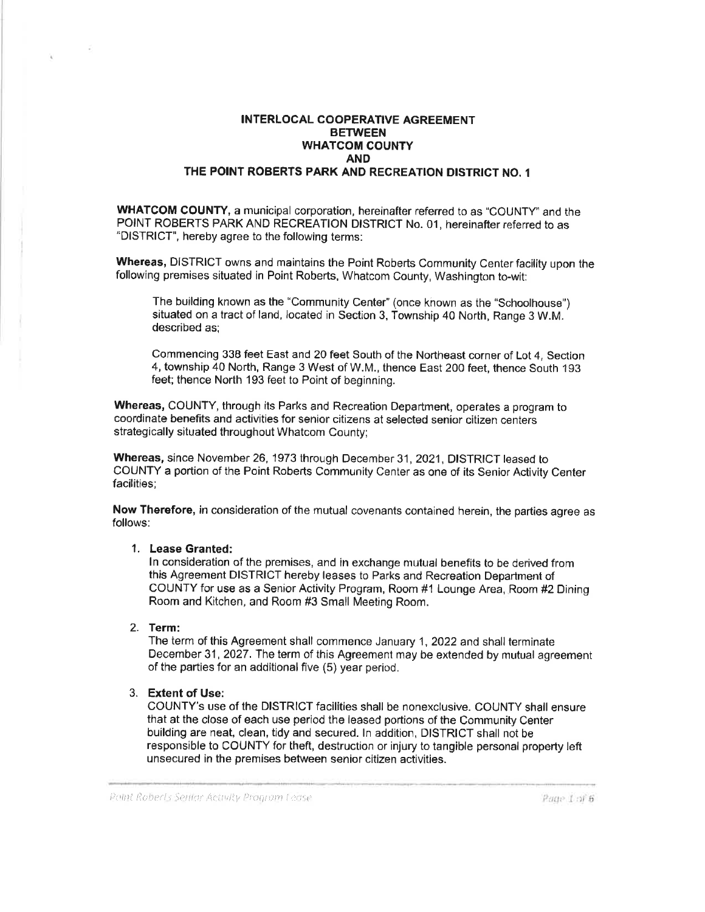## INTERLOCAL COOPERATIVE AGREEMENT **BETWEEN** WHATCOM COUNTY AND THE POINT ROBERTS PARK AND RECREATION DISTRICT NO. <sup>1</sup>

WHATCOM COUNTY, a municipal corporation, hereinafter referred to as "COUNTY" and the POINT ROBERTS PARK AND RECREATION DISTRICT No. 01, hereinafter referred to as "DISTRICT', hereby agree to the following terms:

Whereas, DISTRICT owns and maintains the Point Roberts Community Center facility upon the following premises situated in Point Roberts, whatcom county, washington to-wit:

The building known as the "community center" (once known as the "schoolhouse") situated on a tract of land, located in Section 3, Township 40 North, Range 3 W.M. described as;

Commencing 338 feet East and 20 feet South of the Northeast corner of Lot 4, Section 4, township 40 North, Range 3 West of W.M., thence East 200 feet, thence South 193 feet; thence North 193 feet to Point of beginning.

Whereas, COUNTY, through its Parks and Recreation Department, operates a program to coordinate benefits and activities for senior citizens at selected senior citizen centers strategically situated throughout Whatcom County;

Whereas, since November 26, 1973 through December 31, 2021, DISTRICT leased to COUNTY a portion of the Point Roberts Community Center as one of its Senior Activily Center facilities;

Now Therefore, in consideration of the mutual covenants contained herein, the parties agree as follows:

## 1. Lease Granted:

ln consideration of the premises, and in exchange mulual benefits to be derived from this Agreenrent DISTRICT hereby leases to Parks and Recreation Department of COUNTY for use as a Senior Activity Program, Room #1 Lounge Area, Room #2 Dining Room and Kitchen, and Room #3 Small Meeting Room.

# 2. Term:

The ierm of this Agreement shall commence January 1, 2022 and shall terminate December 31, 2027. The term of this Agreement may be extended by mutual agreement of the parties for an additional five (5) year period.

## 3. Extent of Use:

COUNTY's use of the DISTRICT facilities shall be nonexclusive. COUNTY shall ensure that at the close of each use period the leased portions of the Comrnunity Center building are neat, clean, tidy and secured. ln addition, DISTRICT shall not be responsible to COUNTY for theft, destruction or injury to tangible personal property left unsecured in the premises between senior citizen activities.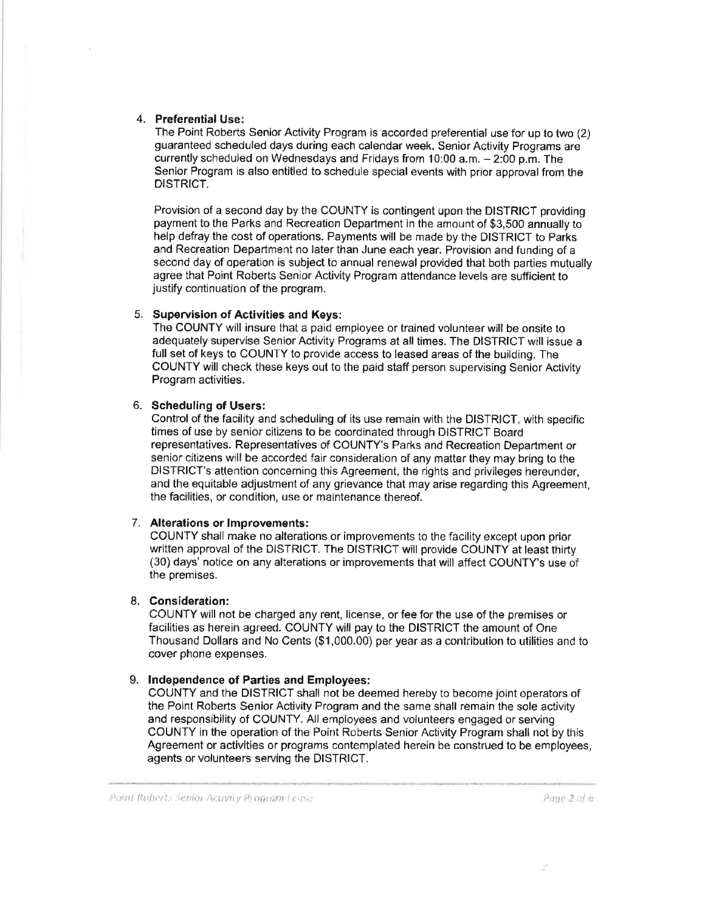#### 4. Preferential Use:

The Point Roberts Senior Activity Program is accorded preferential use for up to two (2) guaranteed scheduled days during each calendar week. Senior Activity Programs are currently scheduled on Wednesdays and Fridays from 10:00 a.m. - 2:00 p.m. The Senior Program is also entitled to schedule special events with prior approval from the DISTRICT.

Provision of a second day by the COUNTY is contingent upon the DISTRICT providing payment to the Parks and Recreation Department in the amount of \$3,500 annually to help defray the cost of operations. Payments will be made by the DISTRICT to Parks and Recreation Department no later than June each year. Provision and funding of a second day of operation is subject to annual renewal provided that both parties mutually agree that Point Roberts Senior Activity Program attendance levels are sufficient to justify continuation of the program.

## 5. Supervision of Activities and Keys:

The COUNTY will insure that a paid employee or trained volunteer will be onsite to adequately supervise Senior Activity Programs at all times. The DISTRICT will issue a full set of keys to COUNTY to provide access to leased areas of the building. The COUNTY will check these keys out to the paid staff person supervising Senior Activity Program activities.

## 6. Scheduling of Users:

Control of the facility and scheduling of its use remain with the DISTRICT, with specific times of use by senior citizens to be coordinated through DISTRICT Board representatives. Representatives of COUNTY's Parks and Recreation Department or senior citizens will be accorded fair consideration of any matter they may bring to the DISTRICT's attention concerning this Agreement, the rights and privileges hereunder, and the equitable adjustment of any grievance that may arise regarding this Agreement, the facilities, or condition, use or maintenance thereof.

## 7. Alterations or lmprovements:

COUNTY shall make no alterations or improvements to the facility except upon prior written approval of the DISTRICT. The DISTRICT will provide COUNTY at least thirty (30) days' notice on any alterations or improvements that will atfect COUNTY's use of the premises.

## 8. Consideration:

COUNTY will not be charged any rent, license, or fee for the use of the premises or facilities as herein agreed. COUNTY will pay to the DISTRICT the amount of One Thousand Dollars and No Cents (\$1,000.00) per year as a contribution to utilities and to cover phone expenses.

## 9. lndependence of Parties and Employees:

COUNTY and the DISTRICT shall not be deemed hereby to become joint operators of the Point Roberts Senior Activity Program and the same shall remain lhe sole activity and responsibility of COUNTY. All employees and volunteers engaged or serving COUNTY in the operation of the Point Roberts Senior Activity Program shall not by this Agreement or activities or programs contemplated herein be construed to be employees, agents or volunteers serving the DISTRICT.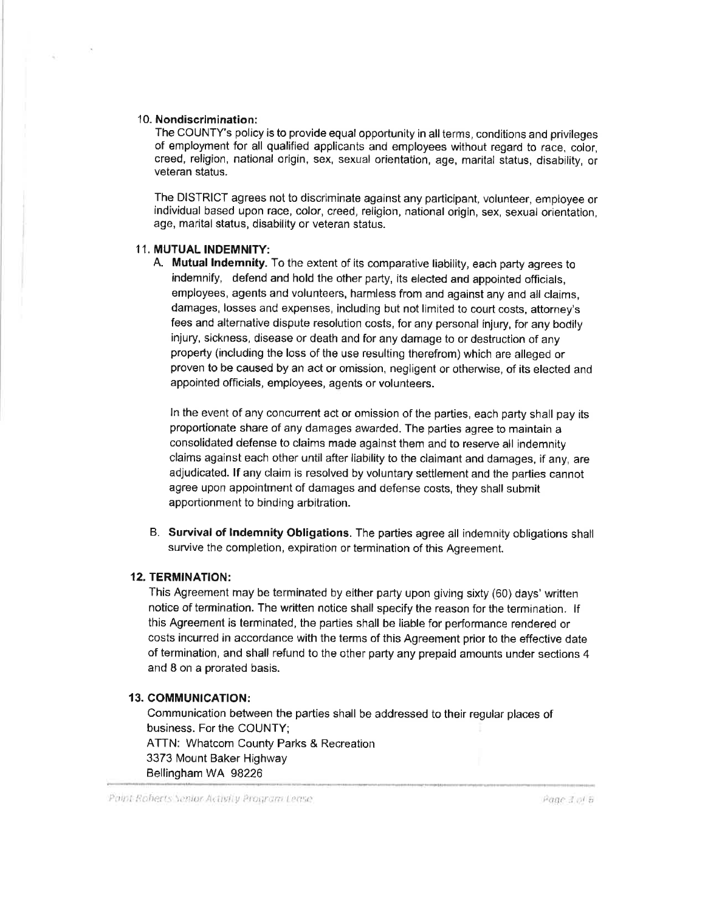#### <sup>1</sup>0. Nondiscrimination:

The COUNTY's policy is to provide equal opportunity in all terms, conditions and privileges of employment for all qualified applicants and employees without regard to race, color, creed, religion, national origin, sex, sexual orientation, age, marital status, disability, or veteran status.

The DISTRICT agrees not to discriminate against any participant, volunteer, employee or individual based upon race, color, creed, religion, national origin, sex, sexual orientation, age, marital status, disability or veteran status.

#### 11. MUTUAL INDEMNITY:

A. Mutual lndemnity. To the extent of its comparative liability, each party agrees to indemnify, defend and hold the other party, its elected and appointed officials, employees, agents and volunteers, harmless from and against any and all claims, damages, losses and expenses, including but not limited to court costs, attorney's fees and alternative dispute resolution costs, for any personal injury, for any bodily injury, sickness, disease or death and for any damage to or destruction of any property (including the loss of the use resultíng therefrom) which are alleged or proven to be caused by an act or omission, negligent or otherwise, of its elected and appointed officials, employees, agents or volunteers.

In the event of any concurrent act or omission of the parties, each party shall pay its proportionate share of any damages awarded. The parties agree to maintain a consolidated defense to claims made against them and to reserve all indemnity claims against each other until after liability to the claimant and damages, if any, are adjudicated. lf any claim is resolved by voluntary settlement and the parties cannot agree upon appointment of damages and defense costs, they shall submit apportionment to binding arbitration.

B. Survival of lndemnity Obligations. The parties agree all indemnity obligations shall survive the completion, expiration or termination of this Agreement.

#### 12. TERMINATION:

This Agreement may be terminated by either party upon giving sixty (60) days'written notice of termínation. The written notice shall specify the reason for the termination. lf this Agreement is terminated, the parties shall be liable for performance rendered or costs incurred in accordance with the terms of this Agreement prior to the effective date of termination, and shall refund to the other party any prepaid amounts under sections 4 and B on a prorated basis.

#### 13. COMMUNICATION:

Cornmunication between the parties shall be addressed to their regular places of business. For the COUNTY; ATTN: Whatcom County Parks & Recreation 3373 Mount Baker Highway Bellingham WA 98226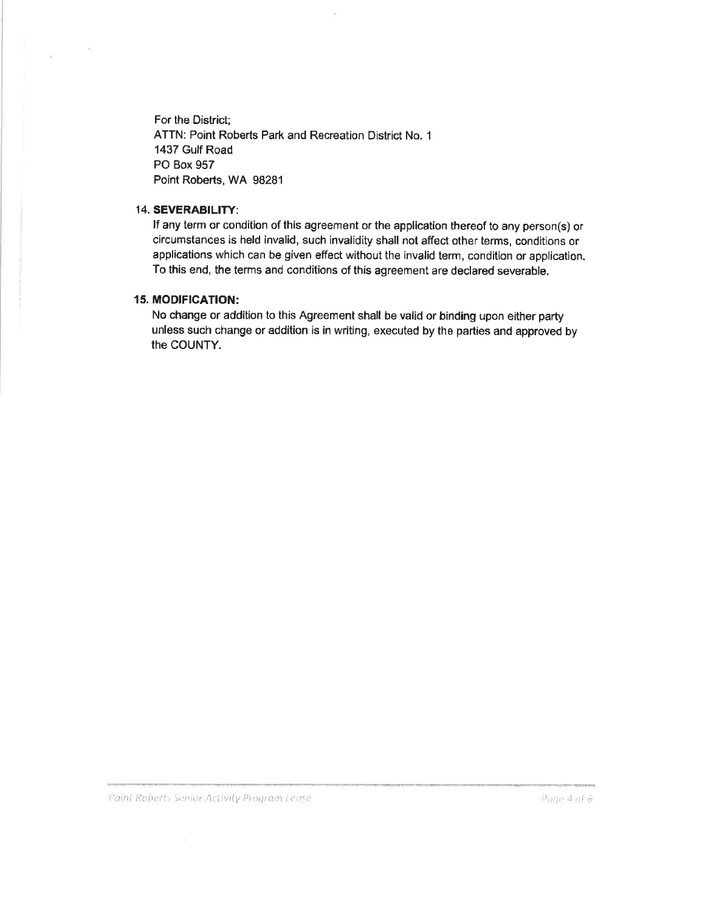For the District; ATTN: Point Roberts Park and Recreation District No. 1 1437 Gulf Road PO Box 957 Point Roberts, WA 98281

#### 14. SEVERABILITY:

If any term or condition of this agreement or the application thereof to any person(s) or circumstances is held invalid, such invalidity shall not affect other terms, conditions or applications which can be given effect without the invalid term, condition or application. To this end, the terms and conditions of this agreement are declared severable.

## **15. MODIFICATION:**

No change or addition to this Agreement shall be valid or binding upon either party unless such change or addition is in writing, executed by the parties and approved by the COUNTY.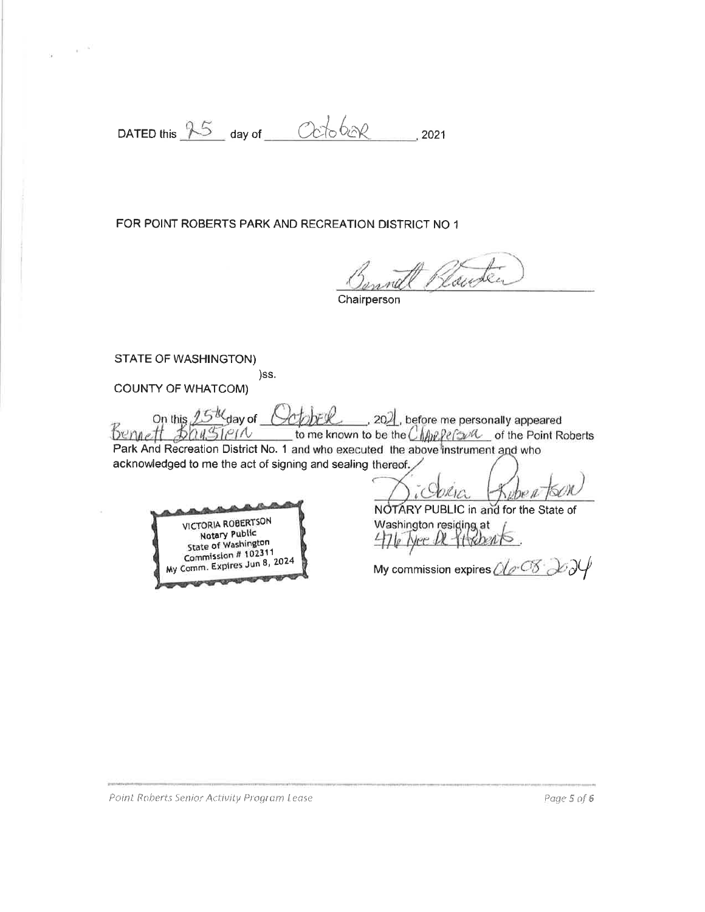DATED this 25 day of Coro be 2021

FOR POINT ROBERTS PARK AND RECREATION DISTRICT NO 1

)ss.

Ranten

Chairperson

**STATE OF WASHINGTON)** 

 $\sim$ 

**COUNTY OF WHATCOM)** 

On this 15th day of Corpel . 2021, before me personally appeared<br>Bennett BauSiern to me known to be the Chappers of the Point Roberts Park And Recreation District No. 1 and who executed the above instrument and who acknowledged to me the act of signing and sealing thereof.

**VICTORIA ROBERTSON Notary Public** State of Washington Commission # 102311 Comm. Expires Jun 8, 2024 Mv

NOTARY PUBLIC in and for the State of Washington residing at<br>4710 Nee DL-14 Roberts

My commission expires  $O(\sqrt{2\cdot S})$